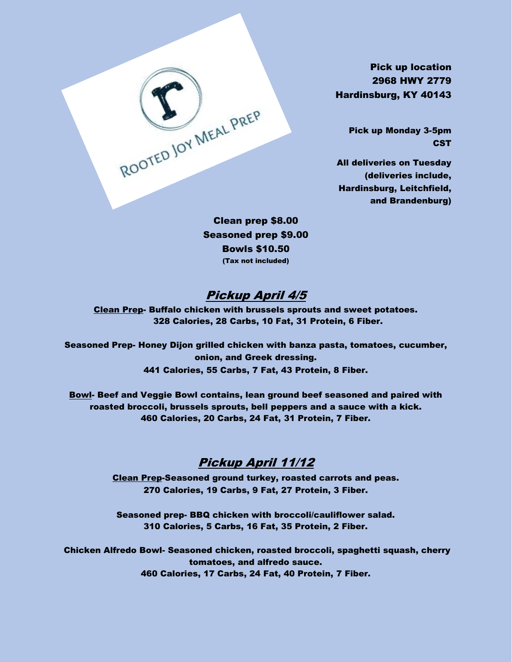Pick up location 2968 HWY 2779 Hardinsburg, KY 40143

> Pick up Monday 3-5pm **CST**

All deliveries on Tuesday (deliveries include, Hardinsburg, Leitchfield, and Brandenburg)

Clean prep \$8.00 Seasoned prep \$9.00 Bowls \$10.50 (Tax not included)

ROOTED JOY MEAL PREP

### Pickup April 4/5

Clean Prep- Buffalo chicken with brussels sprouts and sweet potatoes. 328 Calories, 28 Carbs, 10 Fat, 31 Protein, 6 Fiber.

Seasoned Prep- Honey Dijon grilled chicken with banza pasta, tomatoes, cucumber, onion, and Greek dressing. 441 Calories, 55 Carbs, 7 Fat, 43 Protein, 8 Fiber.

Bowl- Beef and Veggie Bowl contains, lean ground beef seasoned and paired with roasted broccoli, brussels sprouts, bell peppers and a sauce with a kick. 460 Calories, 20 Carbs, 24 Fat, 31 Protein, 7 Fiber.

#### Pickup April 11/12

Clean Prep-Seasoned ground turkey, roasted carrots and peas. 270 Calories, 19 Carbs, 9 Fat, 27 Protein, 3 Fiber.

Seasoned prep- BBQ chicken with broccoli/cauliflower salad. 310 Calories, 5 Carbs, 16 Fat, 35 Protein, 2 Fiber.

Chicken Alfredo Bowl- Seasoned chicken, roasted broccoli, spaghetti squash, cherry tomatoes, and alfredo sauce. 460 Calories, 17 Carbs, 24 Fat, 40 Protein, 7 Fiber.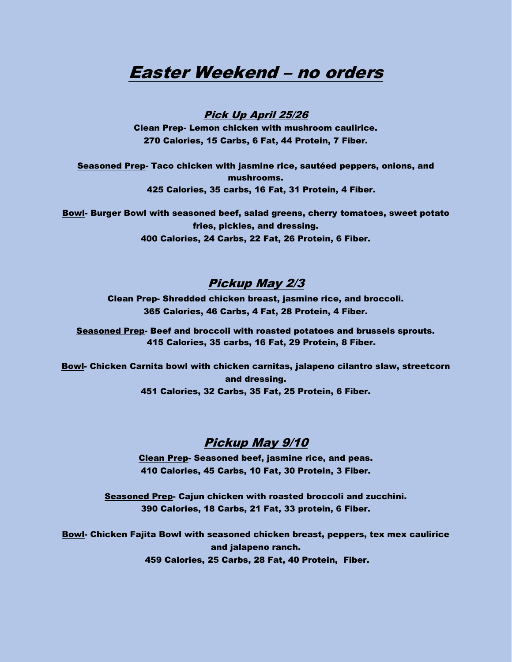# Easter Weekend – no orders

#### Pick Up April 25/26

Clean Prep- Lemon chicken with mushroom caulirice. 270 Calories, 15 Carbs, 6 Fat, 44 Protein, 7 Fiber.

Seasoned Prep- Taco chicken with jasmine rice, sautéed peppers, onions, and mushrooms. 425 Calories, 35 carbs, 16 Fat, 31 Protein, 4 Fiber.

Bowl- Burger Bowl with seasoned beef, salad greens, cherry tomatoes, sweet potato fries, pickles, and dressing. 400 Calories, 24 Carbs, 22 Fat, 26 Protein, 6 Fiber.

#### Pickup May 2/3

Clean Prep- Shredded chicken breast, jasmine rice, and broccoli. 365 Calories, 46 Carbs, 4 Fat, 28 Protein, 4 Fiber.

Seasoned Prep- Beef and broccoli with roasted potatoes and brussels sprouts. 415 Calories, 35 carbs, 16 Fat, 29 Protein, 8 Fiber.

Bowl- Chicken Carnita bowl with chicken carnitas, jalapeno cilantro slaw, streetcorn and dressing. 451 Calories, 32 Carbs, 35 Fat, 25 Protein, 6 Fiber.

#### Pickup May 9/10

Clean Prep- Seasoned beef, jasmine rice, and peas. 410 Calories, 45 Carbs, 10 Fat, 30 Protein, 3 Fiber.

Seasoned Prep- Cajun chicken with roasted broccoli and zucchini. 390 Calories, 18 Carbs, 21 Fat, 33 protein, 6 Fiber.

Bowl- Chicken Fajita Bowl with seasoned chicken breast, peppers, tex mex caulirice and jalapeno ranch. 459 Calories, 25 Carbs, 28 Fat, 40 Protein, Fiber.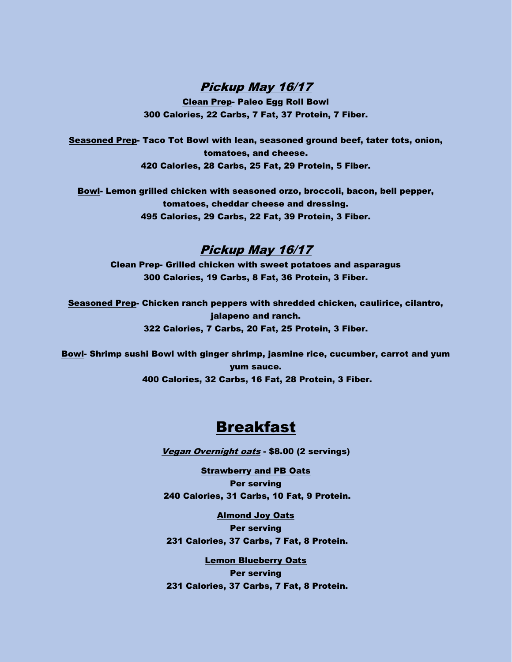Pickup May 16/17

Clean Prep- Paleo Egg Roll Bowl 300 Calories, 22 Carbs, 7 Fat, 37 Protein, 7 Fiber.

Seasoned Prep- Taco Tot Bowl with lean, seasoned ground beef, tater tots, onion, tomatoes, and cheese. 420 Calories, 28 Carbs, 25 Fat, 29 Protein, 5 Fiber.

Bowl- Lemon grilled chicken with seasoned orzo, broccoli, bacon, bell pepper, tomatoes, cheddar cheese and dressing. 495 Calories, 29 Carbs, 22 Fat, 39 Protein, 3 Fiber.

#### Pickup May 16/17

Clean Prep- Grilled chicken with sweet potatoes and asparagus 300 Calories, 19 Carbs, 8 Fat, 36 Protein, 3 Fiber.

Seasoned Prep- Chicken ranch peppers with shredded chicken, caulirice, cilantro, jalapeno and ranch. 322 Calories, 7 Carbs, 20 Fat, 25 Protein, 3 Fiber.

Bowl- Shrimp sushi Bowl with ginger shrimp, jasmine rice, cucumber, carrot and yum yum sauce. 400 Calories, 32 Carbs, 16 Fat, 28 Protein, 3 Fiber.

## Breakfast

Vegan Overnight oats - \$8.00 (2 servings)

Strawberry and PB Oats Per serving 240 Calories, 31 Carbs, 10 Fat, 9 Protein.

Almond Joy Oats Per serving 231 Calories, 37 Carbs, 7 Fat, 8 Protein.

Lemon Blueberry Oats Per serving 231 Calories, 37 Carbs, 7 Fat, 8 Protein.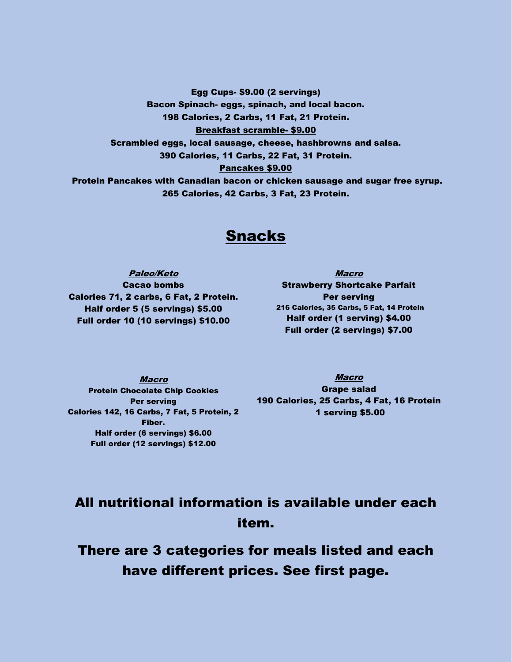Egg Cups- \$9.00 (2 servings)

Bacon Spinach- eggs, spinach, and local bacon. 198 Calories, 2 Carbs, 11 Fat, 21 Protein. Breakfast scramble- \$9.00 Scrambled eggs, local sausage, cheese, hashbrowns and salsa. 390 Calories, 11 Carbs, 22 Fat, 31 Protein. Pancakes \$9.00 Protein Pancakes with Canadian bacon or chicken sausage and sugar free syrup. 265 Calories, 42 Carbs, 3 Fat, 23 Protein.

## Snacks

Paleo/Keto Cacao bombs Calories 71, 2 carbs, 6 Fat, 2 Protein. Half order 5 (5 servings) \$5.00 Full order 10 (10 servings) \$10.00

Macro Strawberry Shortcake Parfait Per serving 216 Calories, 35 Carbs, 5 Fat, 14 Protein Half order (1 serving) \$4.00 Full order (2 servings) \$7.00

Macro Protein Chocolate Chip Cookies Per serving Calories 142, 16 Carbs, 7 Fat, 5 Protein, 2 Fiber. Half order (6 servings) \$6.00 Full order (12 servings) \$12.00

Macro Grape salad 190 Calories, 25 Carbs, 4 Fat, 16 Protein 1 serving \$5.00

# All nutritional information is available under each item.

There are 3 categories for meals listed and each have different prices. See first page.